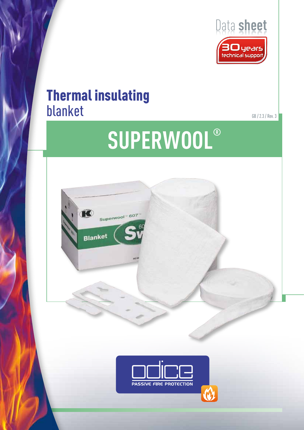

## Thermal insulating blanket

GB / 2.3 / Rev. 3

# **Superwool®**



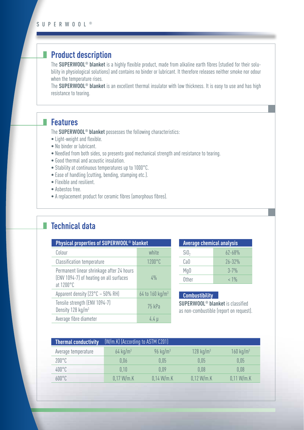## **Product description**

The **SUPERWOOL® blanket** is a highly flexible product, made from alkaline earth fibres (studied for their solubility in physiological solutions) and contains no binder or lubricant. It therefore releases neither smoke nor odour when the temperature rises.

The **SUPERWOOL® blanket** is an excellent thermal insulator with low thickness. It is easy to use and has high resistance to tearing.

### **Features**

The **SUPERWOOL® blanket** possesses the following characteristics:

- Light-weight and flexible.
- No binder or lubricant.
- Needled from both sides, so presents good mechanical strength and resistance to tearing.
- Good thermal and acoustic insulation.
- Stability at continuous temperatures up to 1000°C.
- Ease of handling (cutting, bending, stamping etc.).
- Flexible and resilient.
- Asbestos free.
- A replacement product for ceramic fibres (amorphous fibres).

## **Technical data**

| Physical properties of SUPERWOOL <sup>®</sup> blanket                                             |                               |  |  |  |  |
|---------------------------------------------------------------------------------------------------|-------------------------------|--|--|--|--|
| Colour                                                                                            | white                         |  |  |  |  |
| <b>Classification temperature</b>                                                                 | 1200°C                        |  |  |  |  |
| Permanent linear shrinkage after 24 hours<br>(ENV 1094-7) of heating on all surfaces<br>at 1200°C | $4\%$                         |  |  |  |  |
| Apparent density (23°C - 50% RH)                                                                  | $64$ to 160 kg/m <sup>3</sup> |  |  |  |  |
| Tensile strength (ENV 1094-7)<br>Density 128 kg/m <sup>3</sup>                                    | 75 kPa                        |  |  |  |  |
| Average fibre diameter                                                                            | 4.4 U                         |  |  |  |  |

| <b>Average chemical analysis</b> |            |  |  |
|----------------------------------|------------|--|--|
| SiO <sub>2</sub>                 | $67 - 68%$ |  |  |
| CaO                              | $26 - 32%$ |  |  |
| Mg <sub>0</sub>                  | $3 - 7%$   |  |  |
| Other                            | $< 1\%$    |  |  |

#### **Combustibility**

**SUPERWOOL® blanket** is classified as non-combustible (report on request).

| <b>Thermal conductivity</b> | (W/m.K) (According to ASTM C201) |                     |                      |                      |  |
|-----------------------------|----------------------------------|---------------------|----------------------|----------------------|--|
| Average temperature         | $64 \text{ kg/m}^3$              | $96 \text{ kg/m}^3$ | $128 \text{ kg/m}^3$ | $160 \text{ kg/m}^3$ |  |
| $200^{\circ}$ C             | 0.06                             | 0.05                | 0.05                 | 0,05                 |  |
| $400^{\circ}$ C             | 0.10                             | 0.09                | 0.08                 | 0.08                 |  |
| $600^{\circ}$ C             | 0.17 W/m.K                       | 0.14 W/m.K          | 0.12 W/m.K           | 0.11 W/m.K           |  |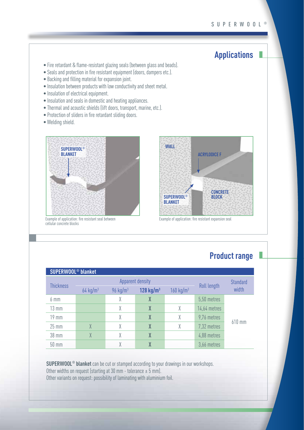## **Applications**

- Fire retardant & flame-resistant glazing seals (between glass and beads).
- Seals and protection in fire resistant equipment (doors, dampers etc.).
- Backing and filling material for expansion joint.
- Insulation between products with low conductivity and sheet metal.
- Insulation of electrical equipment.
- Insulation and seals in domestic and heating appliances.
- Thermal and acoustic shields (lift doors, transport, marine, etc.).
- Protection of sliders in fire retardant sliding doors.
- Welding shield.



Example of application: fire resistant seal between cellular concrete blocks



Example of application: fire resistant expansion seal

## **Product range**

| <b>SUPERWOOL<sup>®</sup> blanket</b> |                        |                        |                  |                         |              |                 |  |  |
|--------------------------------------|------------------------|------------------------|------------------|-------------------------|--------------|-----------------|--|--|
|                                      | Apparent density       |                        |                  |                         |              | <b>Standard</b> |  |  |
| <b>Thickness</b>                     | $64$ kg/m <sup>3</sup> | $96$ kg/m <sup>3</sup> | 128 $kg/m3$      | $160$ kg/m <sup>3</sup> | Roll length  | width           |  |  |
| $6 \text{ mm}$                       |                        | X                      | $\boldsymbol{X}$ |                         | 5,50 metres  |                 |  |  |
| $13 \text{ mm}$                      |                        | X                      | $\boldsymbol{X}$ | X                       | 14,64 metres |                 |  |  |
| $19$ mm                              |                        | X                      | $\boldsymbol{X}$ | X                       | 9,76 metres  |                 |  |  |
| $25 \text{ mm}$                      | $\chi$                 | χ                      | $\boldsymbol{X}$ | X                       | 7,32 metres  | 610 mm          |  |  |
| 38 mm                                | $\chi$                 | X                      | $\boldsymbol{X}$ |                         | 4,88 metres  |                 |  |  |
| $50 \text{ mm}$                      |                        |                        | $\boldsymbol{X}$ |                         | 3,66 metres  |                 |  |  |

**SUPERWOOL® blanket** can be cut or stamped according to your drawings in our workshops. Other widths on request (starting at 30 mm - tolerance  $\pm$  5 mm). Other variants on request: possibility of laminating with aluminium foil.